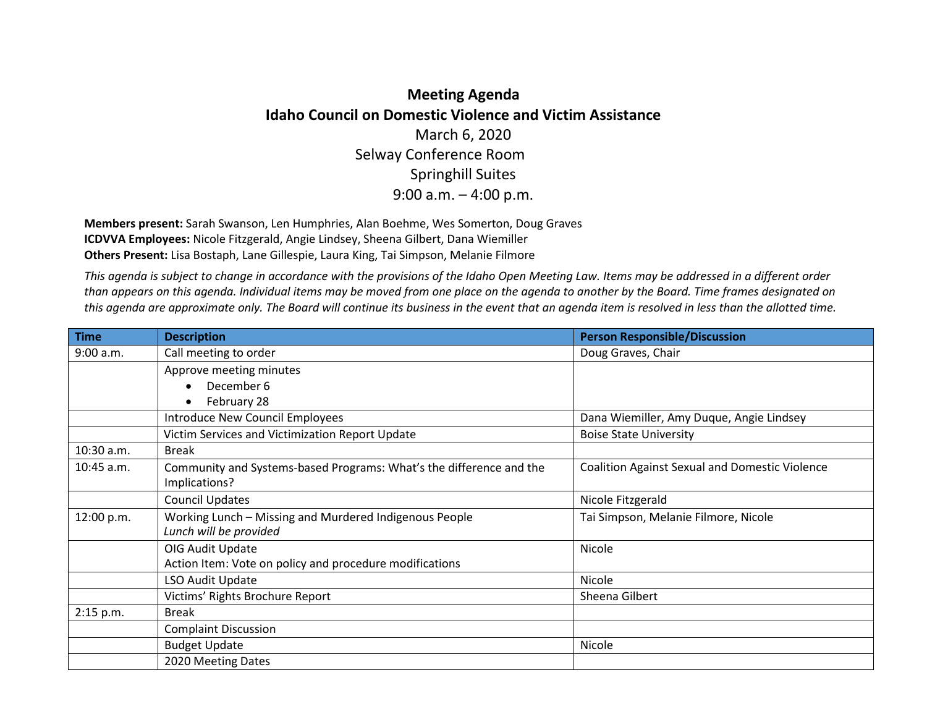## **Meeting Agenda Idaho Council on Domestic Violence and Victim Assistance** March 6, 2020 Selway Conference Room Springhill Suites 9:00 a.m. – 4:00 p.m.

**Members present:** Sarah Swanson, Len Humphries, Alan Boehme, Wes Somerton, Doug Graves **ICDVVA Employees:** Nicole Fitzgerald, Angie Lindsey, Sheena Gilbert, Dana Wiemiller **Others Present:** Lisa Bostaph, Lane Gillespie, Laura King, Tai Simpson, Melanie Filmore

*This agenda is subject to change in accordance with the provisions of the Idaho Open Meeting Law. Items may be addressed in a different order than appears on this agenda. Individual items may be moved from one place on the agenda to another by the Board. Time frames designated on this agenda are approximate only. The Board will continue its business in the event that an agenda item is resolved in less than the allotted time.*

| <b>Time</b>  | <b>Description</b>                                                                   | <b>Person Responsible/Discussion</b>                  |
|--------------|--------------------------------------------------------------------------------------|-------------------------------------------------------|
| 9:00 a.m.    | Call meeting to order                                                                | Doug Graves, Chair                                    |
|              | Approve meeting minutes                                                              |                                                       |
|              | December 6                                                                           |                                                       |
|              | February 28                                                                          |                                                       |
|              | <b>Introduce New Council Employees</b>                                               | Dana Wiemiller, Amy Duque, Angie Lindsey              |
|              | Victim Services and Victimization Report Update                                      | <b>Boise State University</b>                         |
| 10:30 a.m.   | <b>Break</b>                                                                         |                                                       |
| $10:45$ a.m. | Community and Systems-based Programs: What's the difference and the<br>Implications? | <b>Coalition Against Sexual and Domestic Violence</b> |
|              | <b>Council Updates</b>                                                               | Nicole Fitzgerald                                     |
| 12:00 p.m.   | Working Lunch - Missing and Murdered Indigenous People<br>Lunch will be provided     | Tai Simpson, Melanie Filmore, Nicole                  |
|              | OIG Audit Update                                                                     | Nicole                                                |
|              | Action Item: Vote on policy and procedure modifications                              |                                                       |
|              | LSO Audit Update                                                                     | Nicole                                                |
|              | Victims' Rights Brochure Report                                                      | Sheena Gilbert                                        |
| 2:15 p.m.    | <b>Break</b>                                                                         |                                                       |
|              | <b>Complaint Discussion</b>                                                          |                                                       |
|              | <b>Budget Update</b>                                                                 | Nicole                                                |
|              | 2020 Meeting Dates                                                                   |                                                       |